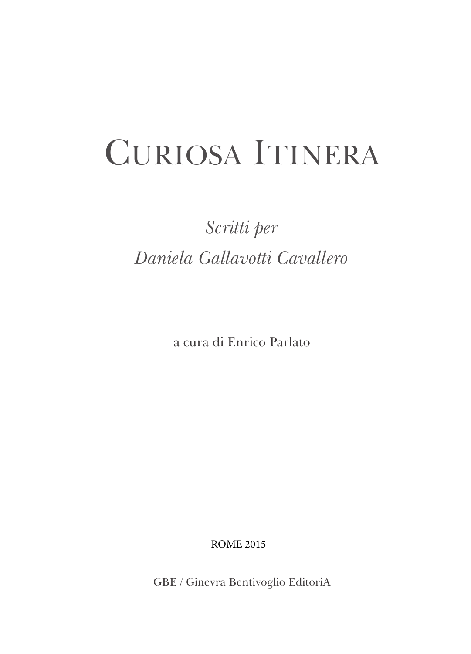## CURIOSA ITINERA

## *Scritti per Daniela Gallavotti Cavallero*

a cura di Enrico Parlato

ROME 2015

GBE / Ginevra Bentivoglio EditoriA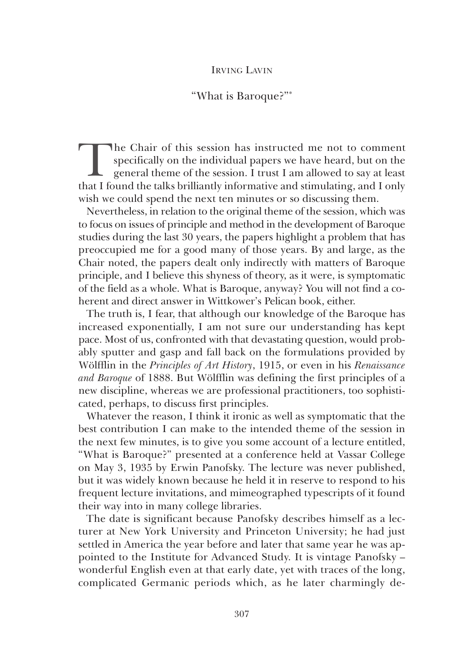## IrvIng LavIn

## "What is Baroque?"\*

The Chair of this session has instructed me not to comment<br>specifically on the individual papers we have heard, but on the<br>general theme of the session. I trust I am allowed to say at least<br>that I found the talks brilliant specifically on the individual papers we have heard, but on the general theme of the session. I trust I am allowed to say at least that I found the talks brilliantly informative and stimulating, and I only wish we could spend the next ten minutes or so discussing them.

Nevertheless, in relation to the original theme of the session, which was to focus on issues of principle and method in the development of Baroque studies during the last 30 years, the papers highlight a problem that has preoccupied me for a good many of those years. By and large, as the Chair noted, the papers dealt only indirectly with matters of Baroque principle, and I believe this shyness of theory, as it were, is symptomatic of the field as a whole. What is Baroque, anyway? You will not find a coherent and direct answer in Wittkower's Pelican book, either.

The truth is, I fear, that although our knowledge of the Baroque has increased exponentially, I am not sure our understanding has kept pace. Most of us, confronted with that devastating question, would probably sputter and gasp and fall back on the formulations provided by Wölfflin in the *Principles of Art History*, 1915, or even in his *Renaissance and Baroque* of 1888. But Wölfflin was defining the first principles of a new discipline, whereas we are professional practitioners, too sophisticated, perhaps, to discuss first principles.

Whatever the reason, I think it ironic as well as symptomatic that the best contribution I can make to the intended theme of the session in the next few minutes, is to give you some account of a lecture entitled, "What is Baroque?" presented at a conference held at vassar College on May 3, 1935 by Erwin Panofsky. The lecture was never published, but it was widely known because he held it in reserve to respond to his frequent lecture invitations, and mimeographed typescripts of it found their way into in many college libraries.

The date is significant because Panofsky describes himself as a lecturer at New York University and Princeton University; he had just settled in America the year before and later that same year he was appointed to the Institute for advanced Study. It is vintage Panofsky – wonderful English even at that early date, yet with traces of the long, complicated germanic periods which, as he later charmingly de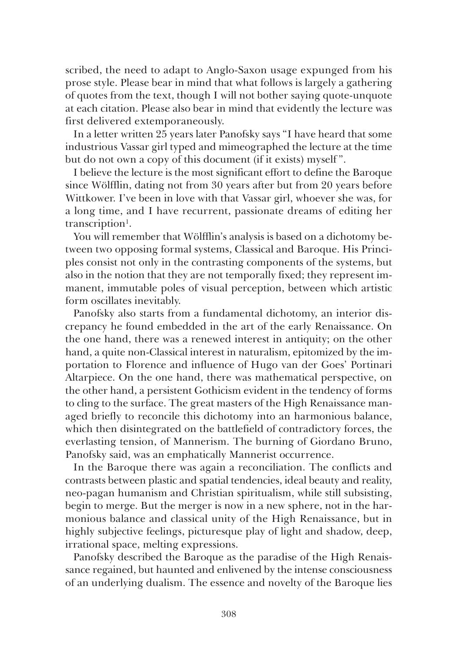scribed, the need to adapt to anglo-Saxon usage expunged from his prose style. Please bear in mind that what follows is largely a gathering of quotes from the text, though I will not bother saying quote-unquote at each citation. Please also bear in mind that evidently the lecture was first delivered extemporaneously.

In a letter written 25 years later Panofsky says "I have heard that some industrious vassar girl typed and mimeographed the lecture at the time but do not own a copy of this document (if it exists) myself ".

I believe the lecture is the most significant effort to define the Baroque since Wölfflin, dating not from 30 years after but from 20 years before Wittkower. I've been in love with that Vassar girl, whoever she was, for a long time, and I have recurrent, passionate dreams of editing her transcription<sup>1</sup>.

You will remember that Wölfflin's analysis is based on a dichotomy between two opposing formal systems, Classical and Baroque. His Principles consist not only in the contrasting components of the systems, but also in the notion that they are not temporally fixed; they represent immanent, immutable poles of visual perception, between which artistic form oscillates inevitably.

Panofsky also starts from a fundamental dichotomy, an interior discrepancy he found embedded in the art of the early Renaissance. On the one hand, there was a renewed interest in antiquity; on the other hand, a quite non-Classical interest in naturalism, epitomized by the importation to Florence and influence of Hugo van der Goes' Portinari altarpiece. On the one hand, there was mathematical perspective, on the other hand, a persistent gothicism evident in the tendency of forms to cling to the surface. The great masters of the High Renaissance managed briefly to reconcile this dichotomy into an harmonious balance, which then disintegrated on the battlefield of contradictory forces, the everlasting tension, of Mannerism. The burning of Giordano Bruno, Panofsky said, was an emphatically Mannerist occurrence.

In the Baroque there was again a reconciliation. The conflicts and contrasts between plastic and spatial tendencies, ideal beauty and reality, neo-pagan humanism and Christian spiritualism, while still subsisting, begin to merge. But the merger is now in a new sphere, not in the harmonious balance and classical unity of the High Renaissance, but in highly subjective feelings, picturesque play of light and shadow, deep, irrational space, melting expressions.

Panofsky described the Baroque as the paradise of the High Renaissance regained, but haunted and enlivened by the intense consciousness of an underlying dualism. The essence and novelty of the Baroque lies